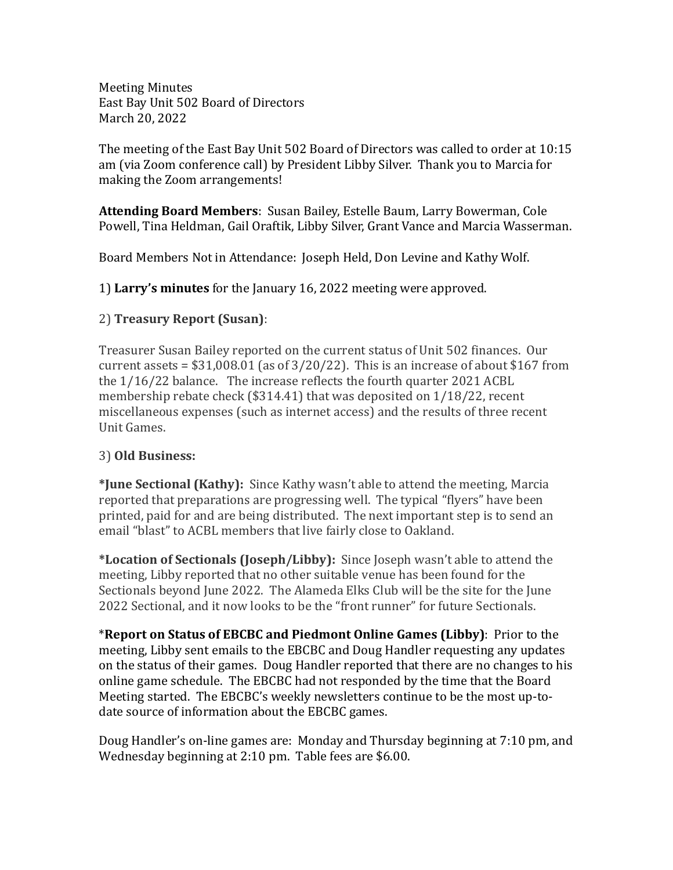Meeting Minutes East Bay Unit 502 Board of Directors March 20, 2022

The meeting of the East Bay Unit 502 Board of Directors was called to order at 10:15 am (via Zoom conference call) by President Libby Silver. Thank you to Marcia for making the Zoom arrangements!

**Attending Board Members**: Susan Bailey, Estelle Baum, Larry Bowerman, Cole Powell, Tina Heldman, Gail Oraftik, Libby Silver, Grant Vance and Marcia Wasserman.

Board Members Not in Attendance: Joseph Held, Don Levine and Kathy Wolf.

1) **Larry's minutes** for the January 16, 2022 meeting were approved.

## 2) **Treasury Report (Susan)**:

Treasurer Susan Bailey reported on the current status of Unit 502 finances. Our current assets =  $$31,008.01$  (as of  $3/20/22$ ). This is an increase of about  $$167$  from the 1/16/22 balance. The increase reflects the fourth quarter 2021 ACBL membership rebate check (\$314.41) that was deposited on 1/18/22, recent miscellaneous expenses (such as internet access) and the results of three recent Unit Games.

## 3) **Old Business:**

**\*June Sectional (Kathy):** Since Kathy wasn't able to attend the meeting, Marcia reported that preparations are progressing well. The typical "flyers" have been printed, paid for and are being distributed. The next important step is to send an email "blast" to ACBL members that live fairly close to Oakland.

**\*Location of Sectionals (Joseph/Libby):** Since Joseph wasn't able to attend the meeting, Libby reported that no other suitable venue has been found for the Sectionals beyond June 2022. The Alameda Elks Club will be the site for the June 2022 Sectional, and it now looks to be the "front runner" for future Sectionals.

\***Report on Status of EBCBC and Piedmont Online Games (Libby)**: Prior to the meeting, Libby sent emails to the EBCBC and Doug Handler requesting any updates on the status of their games. Doug Handler reported that there are no changes to his online game schedule. The EBCBC had not responded by the time that the Board Meeting started. The EBCBC's weekly newsletters continue to be the most up-todate source of information about the EBCBC games.

Doug Handler's on-line games are: Monday and Thursday beginning at 7:10 pm, and Wednesday beginning at 2:10 pm. Table fees are \$6.00.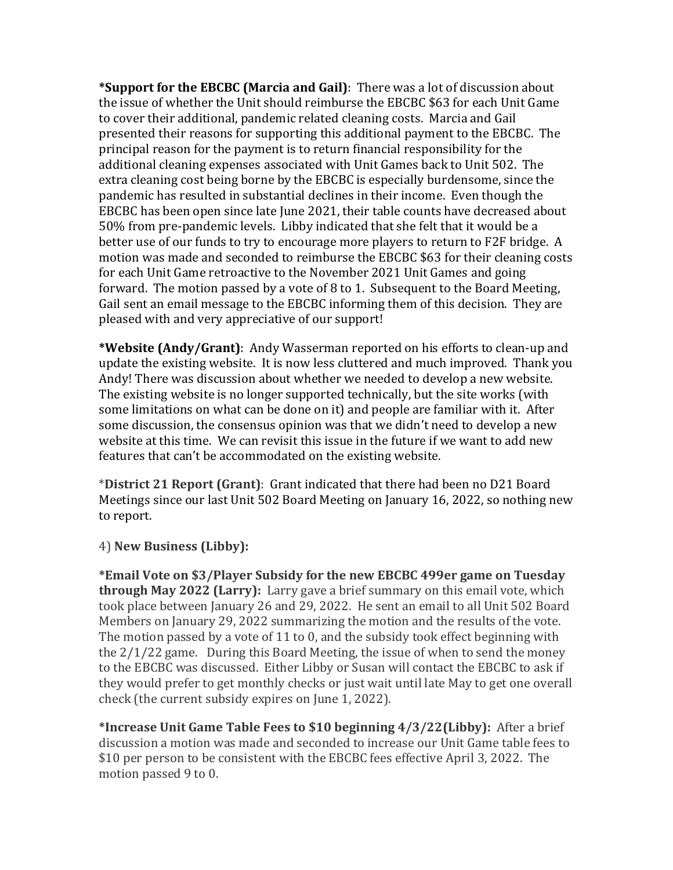**\*Support for the EBCBC (Marcia and Gail)**: There was a lot of discussion about the issue of whether the Unit should reimburse the EBCBC \$63 for each Unit Game to cover their additional, pandemic related cleaning costs. Marcia and Gail presented their reasons for supporting this additional payment to the EBCBC. The principal reason for the payment is to return financial responsibility for the additional cleaning expenses associated with Unit Games back to Unit 502. The extra cleaning cost being borne by the EBCBC is especially burdensome, since the pandemic has resulted in substantial declines in their income. Even though the EBCBC has been open since late June 2021, their table counts have decreased about 50% from pre-pandemic levels. Libby indicated that she felt that it would be a better use of our funds to try to encourage more players to return to F2F bridge. A motion was made and seconded to reimburse the EBCBC \$63 for their cleaning costs for each Unit Game retroactive to the November 2021 Unit Games and going forward. The motion passed by a vote of 8 to 1. Subsequent to the Board Meeting, Gail sent an email message to the EBCBC informing them of this decision. They are pleased with and very appreciative of our support!

**\*Website (Andy/Grant)**: Andy Wasserman reported on his efforts to clean-up and update the existing website. It is now less cluttered and much improved. Thank you Andy! There was discussion about whether we needed to develop a new website. The existing website is no longer supported technically, but the site works (with some limitations on what can be done on it) and people are familiar with it. After some discussion, the consensus opinion was that we didn't need to develop a new website at this time. We can revisit this issue in the future if we want to add new features that can't be accommodated on the existing website.

\***District 21 Report (Grant)**: Grant indicated that there had been no D21 Board Meetings since our last Unit 502 Board Meeting on January 16, 2022, so nothing new to report.

4) **New Business (Libby):**

**\*Email Vote on \$3/Player Subsidy for the new EBCBC 499er game on Tuesday through May 2022 (Larry):** Larry gave a brief summary on this email vote, which took place between January 26 and 29, 2022. He sent an email to all Unit 502 Board Members on January 29, 2022 summarizing the motion and the results of the vote. The motion passed by a vote of 11 to 0, and the subsidy took effect beginning with the 2/1/22 game. During this Board Meeting, the issue of when to send the money to the EBCBC was discussed. Either Libby or Susan will contact the EBCBC to ask if they would prefer to get monthly checks or just wait until late May to get one overall check (the current subsidy expires on June 1, 2022).

**\*Increase Unit Game Table Fees to \$10 beginning 4/3/22(Libby):** After a brief discussion a motion was made and seconded to increase our Unit Game table fees to \$10 per person to be consistent with the EBCBC fees effective April 3, 2022. The motion passed 9 to 0.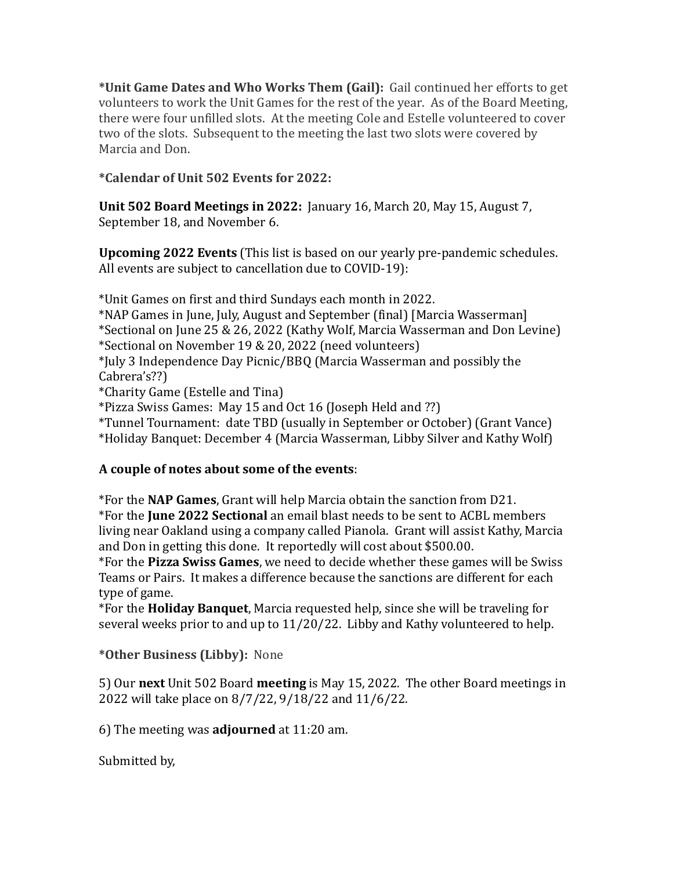**\*Unit Game Dates and Who Works Them (Gail):** Gail continued her efforts to get volunteers to work the Unit Games for the rest of the year. As of the Board Meeting, there were four unfilled slots. At the meeting Cole and Estelle volunteered to cover two of the slots. Subsequent to the meeting the last two slots were covered by Marcia and Don.

## **\*Calendar of Unit 502 Events for 2022:**

**Unit 502 Board Meetings in 2022:** January 16, March 20, May 15, August 7, September 18, and November 6.

**Upcoming 2022 Events** (This list is based on our yearly pre-pandemic schedules. All events are subject to cancellation due to COVID-19):

\*Unit Games on first and third Sundays each month in 2022.

\*NAP Games in June, July, August and September (final) [Marcia Wasserman]

\*Sectional on June 25 & 26, 2022 (Kathy Wolf, Marcia Wasserman and Don Levine) \*Sectional on November 19 & 20, 2022 (need volunteers)

\*July 3 Independence Day Picnic/BBQ (Marcia Wasserman and possibly the Cabrera's??)

\*Charity Game (Estelle and Tina)

\*Pizza Swiss Games: May 15 and Oct 16 (Joseph Held and ??)

\*Tunnel Tournament: date TBD (usually in September or October) (Grant Vance) \*Holiday Banquet: December 4 (Marcia Wasserman, Libby Silver and Kathy Wolf)

## **A couple of notes about some of the events**:

\*For the **NAP Games**, Grant will help Marcia obtain the sanction from D21. \*For the **June 2022 Sectional** an email blast needs to be sent to ACBL members living near Oakland using a company called Pianola. Grant will assist Kathy, Marcia and Don in getting this done. It reportedly will cost about \$500.00.

\*For the **Pizza Swiss Games**, we need to decide whether these games will be Swiss Teams or Pairs. It makes a difference because the sanctions are different for each type of game.

\*For the **Holiday Banquet**, Marcia requested help, since she will be traveling for several weeks prior to and up to 11/20/22. Libby and Kathy volunteered to help.

**\*Other Business (Libby):** None

5) Our **next** Unit 502 Board **meeting** is May 15, 2022. The other Board meetings in 2022 will take place on 8/7/22, 9/18/22 and 11/6/22.

6) The meeting was **adjourned** at 11:20 am.

Submitted by,